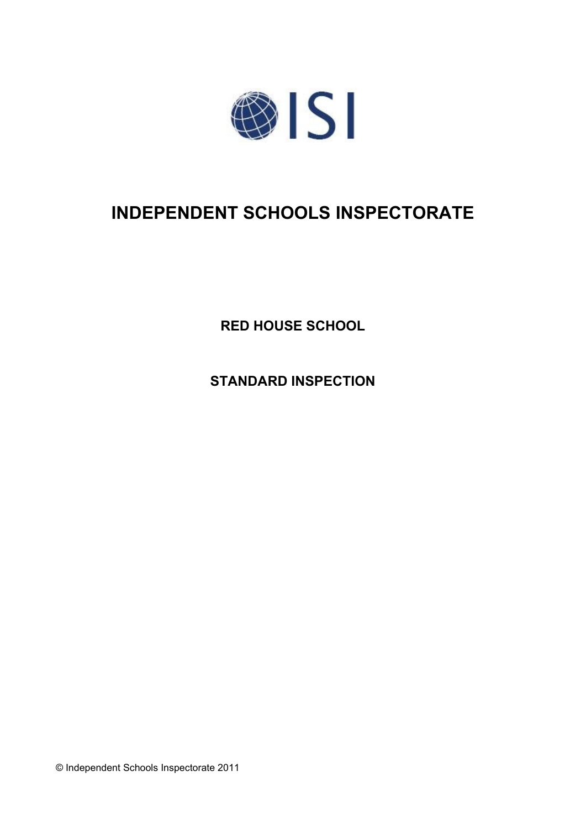

# **INDEPENDENT SCHOOLS INSPECTORATE**

**RED HOUSE SCHOOL**

**STANDARD INSPECTION**

© Independent Schools Inspectorate 2011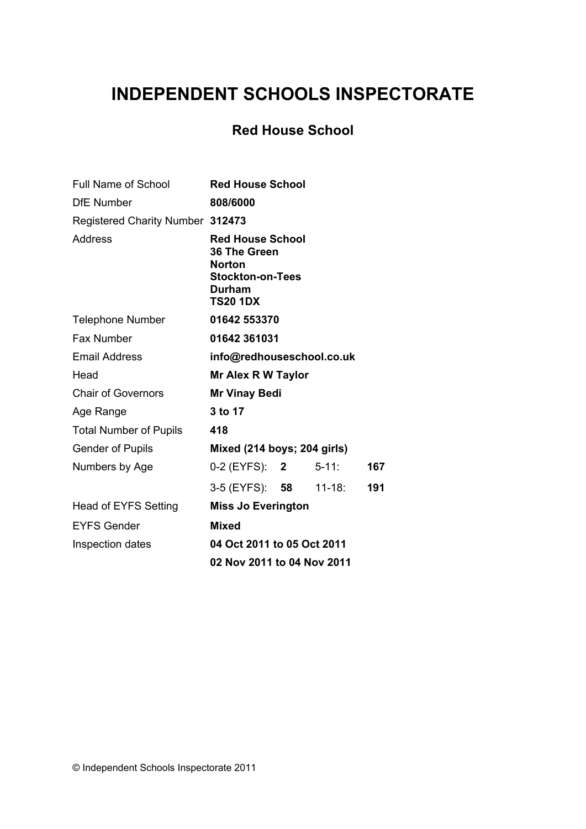# **INDEPENDENT SCHOOLS INSPECTORATE**

## **Red House School**

| <b>Full Name of School</b>       | <b>Red House School</b>                                                                                          |  |            |     |
|----------------------------------|------------------------------------------------------------------------------------------------------------------|--|------------|-----|
| <b>DfE Number</b>                | 808/6000                                                                                                         |  |            |     |
| Registered Charity Number 312473 |                                                                                                                  |  |            |     |
| Address                          | <b>Red House School</b><br>36 The Green<br><b>Norton</b><br><b>Stockton-on-Tees</b><br>Durham<br><b>TS20 1DX</b> |  |            |     |
| <b>Telephone Number</b>          | 01642 553370                                                                                                     |  |            |     |
| Fax Number                       | 01642 361031                                                                                                     |  |            |     |
| <b>Email Address</b>             | info@redhouseschool.co.uk                                                                                        |  |            |     |
| Head                             | <b>Mr Alex R W Taylor</b>                                                                                        |  |            |     |
| <b>Chair of Governors</b>        | <b>Mr Vinay Bedi</b>                                                                                             |  |            |     |
| Age Range                        | 3 to 17                                                                                                          |  |            |     |
| <b>Total Number of Pupils</b>    | 418                                                                                                              |  |            |     |
| <b>Gender of Pupils</b>          | Mixed (214 boys; 204 girls)                                                                                      |  |            |     |
| Numbers by Age                   | 0-2 (EYFS): 2                                                                                                    |  | $5 - 11:$  | 167 |
|                                  | 3-5 (EYFS): 58                                                                                                   |  | $11 - 18:$ | 191 |
| <b>Head of EYFS Setting</b>      | <b>Miss Jo Everington</b>                                                                                        |  |            |     |
| <b>EYFS Gender</b>               | <b>Mixed</b>                                                                                                     |  |            |     |
| Inspection dates                 | 04 Oct 2011 to 05 Oct 2011                                                                                       |  |            |     |
|                                  | 02 Nov 2011 to 04 Nov 2011                                                                                       |  |            |     |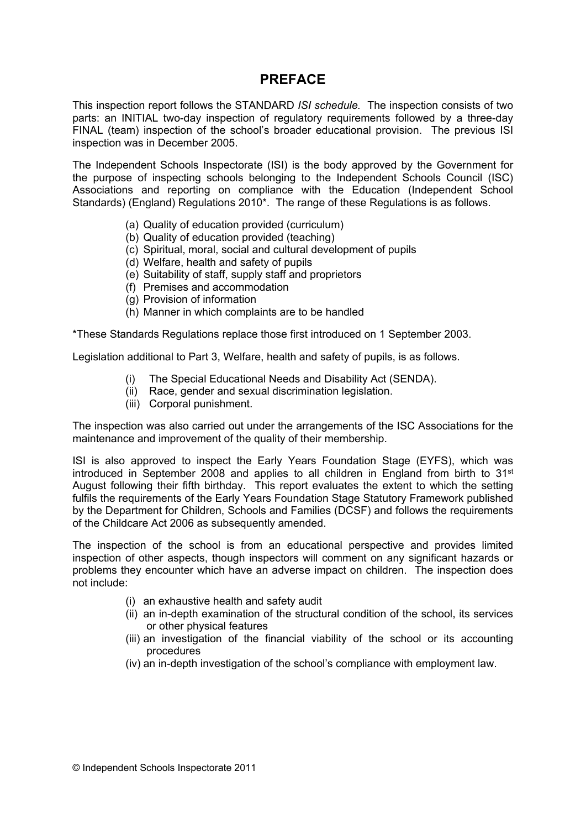## **PREFACE**

This inspection report follows the STANDARD *ISI schedule.* The inspection consists of two parts: an INITIAL two-day inspection of regulatory requirements followed by a three-day FINAL (team) inspection of the school's broader educational provision. The previous ISI inspection was in December 2005.

The Independent Schools Inspectorate (ISI) is the body approved by the Government for the purpose of inspecting schools belonging to the Independent Schools Council (ISC) Associations and reporting on compliance with the Education (Independent School Standards) (England) Regulations 2010\*. The range of these Regulations is as follows.

- (a) Quality of education provided (curriculum)
- (b) Quality of education provided (teaching)
- (c) Spiritual, moral, social and cultural development of pupils
- (d) Welfare, health and safety of pupils
- (e) Suitability of staff, supply staff and proprietors
- (f) Premises and accommodation
- (g) Provision of information
- (h) Manner in which complaints are to be handled

\*These Standards Regulations replace those first introduced on 1 September 2003.

Legislation additional to Part 3, Welfare, health and safety of pupils, is as follows.

- (i) The Special Educational Needs and Disability Act (SENDA).
- (ii) Race, gender and sexual discrimination legislation.
- (iii) Corporal punishment.

The inspection was also carried out under the arrangements of the ISC Associations for the maintenance and improvement of the quality of their membership.

ISI is also approved to inspect the Early Years Foundation Stage (EYFS), which was introduced in September 2008 and applies to all children in England from birth to 31<sup>st</sup> August following their fifth birthday. This report evaluates the extent to which the setting fulfils the requirements of the Early Years Foundation Stage Statutory Framework published by the Department for Children, Schools and Families (DCSF) and follows the requirements of the Childcare Act 2006 as subsequently amended.

The inspection of the school is from an educational perspective and provides limited inspection of other aspects, though inspectors will comment on any significant hazards or problems they encounter which have an adverse impact on children. The inspection does not include:

- (i) an exhaustive health and safety audit
- (ii) an in-depth examination of the structural condition of the school, its services or other physical features
- (iii) an investigation of the financial viability of the school or its accounting procedures
- (iv) an in-depth investigation of the school's compliance with employment law.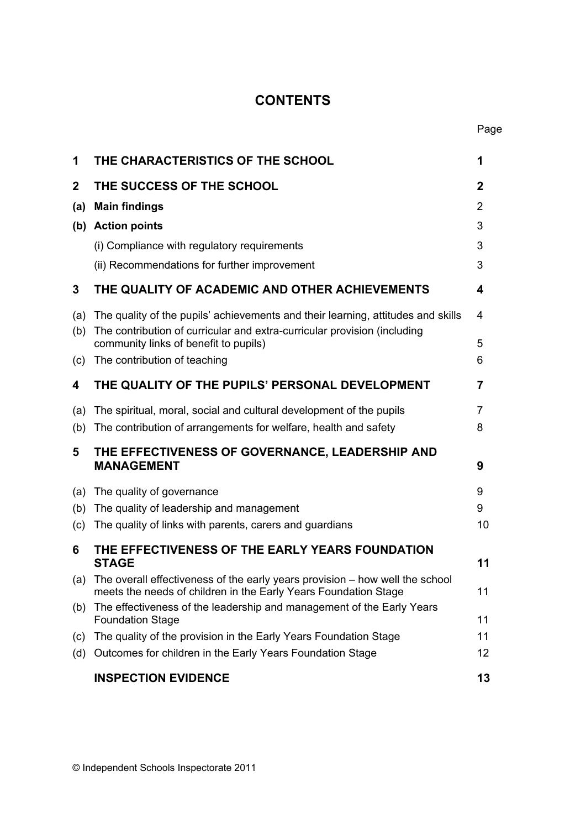# **CONTENTS**

| 1           | THE CHARACTERISTICS OF THE SCHOOL                                                                                                                                                                     | 1            |
|-------------|-------------------------------------------------------------------------------------------------------------------------------------------------------------------------------------------------------|--------------|
| $\mathbf 2$ | THE SUCCESS OF THE SCHOOL                                                                                                                                                                             | $\mathbf{2}$ |
| (a)         | <b>Main findings</b>                                                                                                                                                                                  | 2            |
|             | (b) Action points                                                                                                                                                                                     | 3            |
|             | (i) Compliance with regulatory requirements                                                                                                                                                           | 3            |
|             | (ii) Recommendations for further improvement                                                                                                                                                          | 3            |
| 3           | THE QUALITY OF ACADEMIC AND OTHER ACHIEVEMENTS                                                                                                                                                        | 4            |
| (a)<br>(b)  | The quality of the pupils' achievements and their learning, attitudes and skills<br>The contribution of curricular and extra-curricular provision (including<br>community links of benefit to pupils) | 4<br>5       |
| (c)         | The contribution of teaching                                                                                                                                                                          | 6            |
| 4           | THE QUALITY OF THE PUPILS' PERSONAL DEVELOPMENT                                                                                                                                                       | 7            |
| (a)         | The spiritual, moral, social and cultural development of the pupils                                                                                                                                   | 7            |
| (b)         | The contribution of arrangements for welfare, health and safety                                                                                                                                       | 8            |
| 5           | THE EFFECTIVENESS OF GOVERNANCE, LEADERSHIP AND<br><b>MANAGEMENT</b>                                                                                                                                  | 9            |
| (a)         | The quality of governance                                                                                                                                                                             | 9            |
| (b)         | The quality of leadership and management                                                                                                                                                              | 9            |
| (c)         | The quality of links with parents, carers and guardians                                                                                                                                               | 10           |
| 6           | THE EFFECTIVENESS OF THE EARLY YEARS FOUNDATION<br><b>STAGE</b>                                                                                                                                       | 11           |
|             | (a) The overall effectiveness of the early years provision – how well the school<br>meets the needs of children in the Early Years Foundation Stage                                                   | 11           |
| (b)         | The effectiveness of the leadership and management of the Early Years<br><b>Foundation Stage</b>                                                                                                      | 11           |
| (c)         | The quality of the provision in the Early Years Foundation Stage                                                                                                                                      | 11           |
| (d)         | Outcomes for children in the Early Years Foundation Stage                                                                                                                                             | 12           |
|             | <b>INSPECTION EVIDENCE</b>                                                                                                                                                                            | 13           |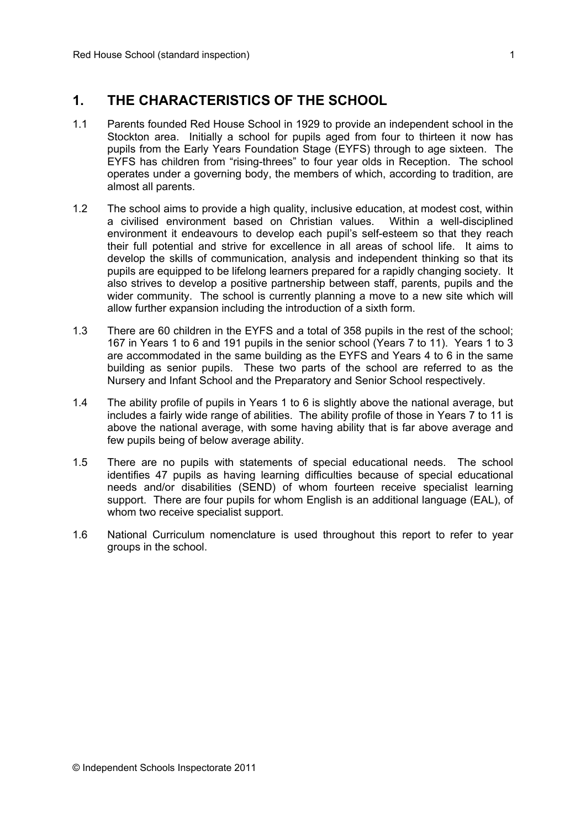## **1. THE CHARACTERISTICS OF THE SCHOOL**

- 1.1 Parents founded Red House School in 1929 to provide an independent school in the Stockton area. Initially a school for pupils aged from four to thirteen it now has pupils from the Early Years Foundation Stage (EYFS) through to age sixteen. The EYFS has children from "rising-threes" to four year olds in Reception. The school operates under a governing body, the members of which, according to tradition, are almost all parents.
- 1.2 The school aims to provide a high quality, inclusive education, at modest cost, within a civilised environment based on Christian values. Within a well-disciplined environment it endeavours to develop each pupil's self-esteem so that they reach their full potential and strive for excellence in all areas of school life. It aims to develop the skills of communication, analysis and independent thinking so that its pupils are equipped to be lifelong learners prepared for a rapidly changing society. It also strives to develop a positive partnership between staff, parents, pupils and the wider community. The school is currently planning a move to a new site which will allow further expansion including the introduction of a sixth form.
- 1.3 There are 60 children in the EYFS and a total of 358 pupils in the rest of the school; 167 in Years 1 to 6 and 191 pupils in the senior school (Years 7 to 11). Years 1 to 3 are accommodated in the same building as the EYFS and Years 4 to 6 in the same building as senior pupils. These two parts of the school are referred to as the Nursery and Infant School and the Preparatory and Senior School respectively.
- 1.4 The ability profile of pupils in Years 1 to 6 is slightly above the national average, but includes a fairly wide range of abilities. The ability profile of those in Years 7 to 11 is above the national average, with some having ability that is far above average and few pupils being of below average ability.
- 1.5 There are no pupils with statements of special educational needs. The school identifies 47 pupils as having learning difficulties because of special educational needs and/or disabilities (SEND) of whom fourteen receive specialist learning support. There are four pupils for whom English is an additional language (EAL), of whom two receive specialist support.
- 1.6 National Curriculum nomenclature is used throughout this report to refer to year groups in the school.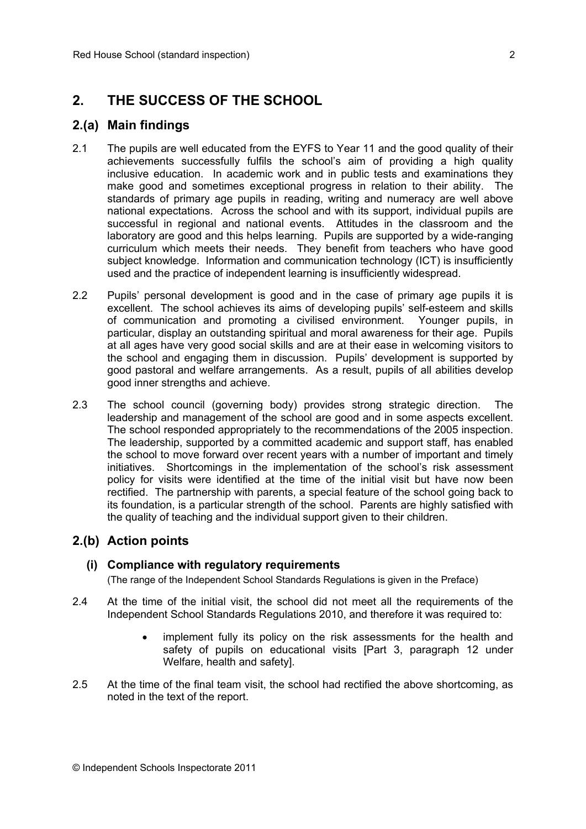## **2. THE SUCCESS OF THE SCHOOL**

#### **2.(a) Main findings**

- 2.1 The pupils are well educated from the EYFS to Year 11 and the good quality of their achievements successfully fulfils the school's aim of providing a high quality inclusive education. In academic work and in public tests and examinations they make good and sometimes exceptional progress in relation to their ability. The standards of primary age pupils in reading, writing and numeracy are well above national expectations. Across the school and with its support, individual pupils are successful in regional and national events. Attitudes in the classroom and the laboratory are good and this helps learning. Pupils are supported by a wide-ranging curriculum which meets their needs. They benefit from teachers who have good subject knowledge. Information and communication technology (ICT) is insufficiently used and the practice of independent learning is insufficiently widespread.
- 2.2 Pupils' personal development is good and in the case of primary age pupils it is excellent. The school achieves its aims of developing pupils' self-esteem and skills of communication and promoting a civilised environment. Younger pupils, in particular, display an outstanding spiritual and moral awareness for their age. Pupils at all ages have very good social skills and are at their ease in welcoming visitors to the school and engaging them in discussion. Pupils' development is supported by good pastoral and welfare arrangements. As a result, pupils of all abilities develop good inner strengths and achieve.
- 2.3 The school council (governing body) provides strong strategic direction. The leadership and management of the school are good and in some aspects excellent. The school responded appropriately to the recommendations of the 2005 inspection. The leadership, supported by a committed academic and support staff, has enabled the school to move forward over recent years with a number of important and timely initiatives. Shortcomings in the implementation of the school's risk assessment policy for visits were identified at the time of the initial visit but have now been rectified. The partnership with parents, a special feature of the school going back to its foundation, is a particular strength of the school. Parents are highly satisfied with the quality of teaching and the individual support given to their children.

### **2.(b) Action points**

#### **(i) Compliance with regulatory requirements**

(The range of the Independent School Standards Regulations is given in the Preface)

- 2.4 At the time of the initial visit, the school did not meet all the requirements of the Independent School Standards Regulations 2010, and therefore it was required to:
	- implement fully its policy on the risk assessments for the health and safety of pupils on educational visits [Part 3, paragraph 12 under Welfare, health and safety].
- 2.5 At the time of the final team visit, the school had rectified the above shortcoming, as noted in the text of the report.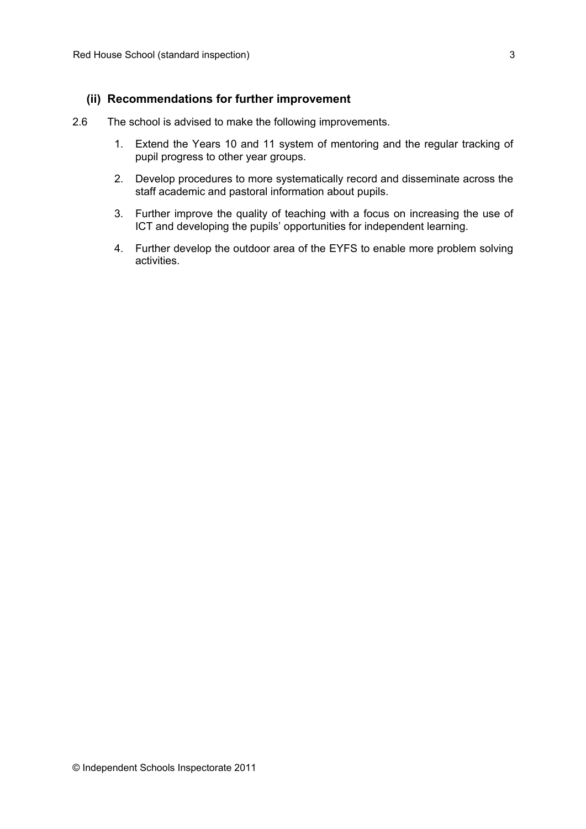#### **(ii) Recommendations for further improvement**

- 2.6 The school is advised to make the following improvements.
	- 1. Extend the Years 10 and 11 system of mentoring and the regular tracking of pupil progress to other year groups.
	- 2. Develop procedures to more systematically record and disseminate across the staff academic and pastoral information about pupils.
	- 3. Further improve the quality of teaching with a focus on increasing the use of ICT and developing the pupils' opportunities for independent learning.
	- 4. Further develop the outdoor area of the EYFS to enable more problem solving activities.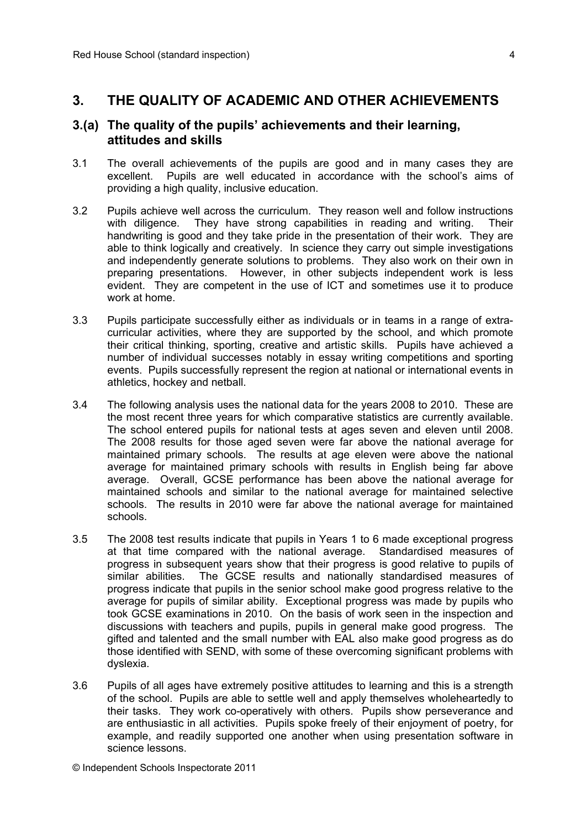## **3. THE QUALITY OF ACADEMIC AND OTHER ACHIEVEMENTS**

#### **3.(a) The quality of the pupils' achievements and their learning, attitudes and skills**

- 3.1 The overall achievements of the pupils are good and in many cases they are excellent. Pupils are well educated in accordance with the school's aims of providing a high quality, inclusive education.
- 3.2 Pupils achieve well across the curriculum. They reason well and follow instructions with diligence. They have strong capabilities in reading and writing. Their handwriting is good and they take pride in the presentation of their work. They are able to think logically and creatively. In science they carry out simple investigations and independently generate solutions to problems. They also work on their own in preparing presentations. However, in other subjects independent work is less evident. They are competent in the use of ICT and sometimes use it to produce work at home.
- 3.3 Pupils participate successfully either as individuals or in teams in a range of extracurricular activities, where they are supported by the school, and which promote their critical thinking, sporting, creative and artistic skills. Pupils have achieved a number of individual successes notably in essay writing competitions and sporting events. Pupils successfully represent the region at national or international events in athletics, hockey and netball.
- 3.4 The following analysis uses the national data for the years 2008 to 2010. These are the most recent three years for which comparative statistics are currently available. The school entered pupils for national tests at ages seven and eleven until 2008. The 2008 results for those aged seven were far above the national average for maintained primary schools. The results at age eleven were above the national average for maintained primary schools with results in English being far above average. Overall, GCSE performance has been above the national average for maintained schools and similar to the national average for maintained selective schools. The results in 2010 were far above the national average for maintained schools.
- 3.5 The 2008 test results indicate that pupils in Years 1 to 6 made exceptional progress at that time compared with the national average. Standardised measures of progress in subsequent years show that their progress is good relative to pupils of similar abilities. The GCSE results and nationally standardised measures of progress indicate that pupils in the senior school make good progress relative to the average for pupils of similar ability. Exceptional progress was made by pupils who took GCSE examinations in 2010. On the basis of work seen in the inspection and discussions with teachers and pupils, pupils in general make good progress. The gifted and talented and the small number with EAL also make good progress as do those identified with SEND, with some of these overcoming significant problems with dyslexia.
- 3.6 Pupils of all ages have extremely positive attitudes to learning and this is a strength of the school. Pupils are able to settle well and apply themselves wholeheartedly to their tasks. They work co-operatively with others. Pupils show perseverance and are enthusiastic in all activities. Pupils spoke freely of their enjoyment of poetry, for example, and readily supported one another when using presentation software in science lessons.

© Independent Schools Inspectorate 2011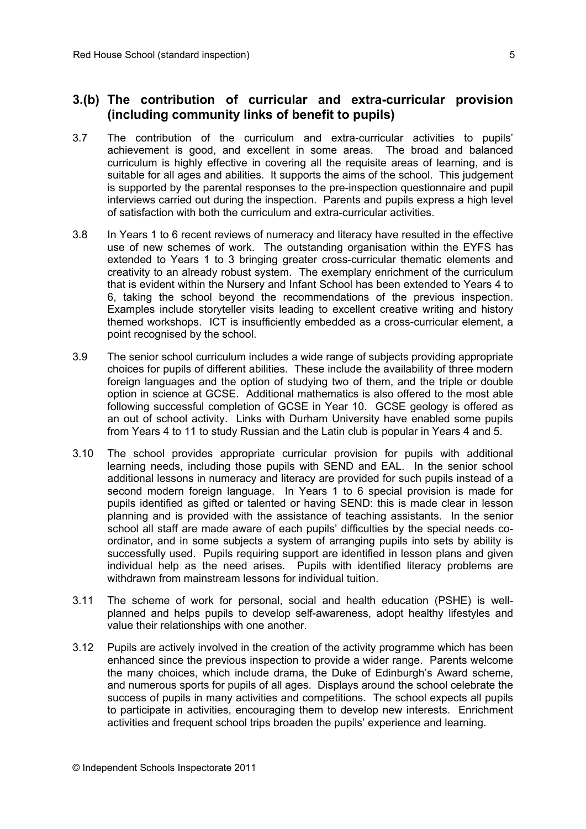#### **3.(b) The contribution of curricular and extra-curricular provision (including community links of benefit to pupils)**

- 3.7 The contribution of the curriculum and extra-curricular activities to pupils' achievement is good, and excellent in some areas. The broad and balanced curriculum is highly effective in covering all the requisite areas of learning, and is suitable for all ages and abilities. It supports the aims of the school. This judgement is supported by the parental responses to the pre-inspection questionnaire and pupil interviews carried out during the inspection. Parents and pupils express a high level of satisfaction with both the curriculum and extra-curricular activities.
- 3.8 In Years 1 to 6 recent reviews of numeracy and literacy have resulted in the effective use of new schemes of work. The outstanding organisation within the EYFS has extended to Years 1 to 3 bringing greater cross-curricular thematic elements and creativity to an already robust system. The exemplary enrichment of the curriculum that is evident within the Nursery and Infant School has been extended to Years 4 to 6, taking the school beyond the recommendations of the previous inspection. Examples include storyteller visits leading to excellent creative writing and history themed workshops. ICT is insufficiently embedded as a cross-curricular element, a point recognised by the school.
- 3.9 The senior school curriculum includes a wide range of subjects providing appropriate choices for pupils of different abilities. These include the availability of three modern foreign languages and the option of studying two of them, and the triple or double option in science at GCSE. Additional mathematics is also offered to the most able following successful completion of GCSE in Year 10. GCSE geology is offered as an out of school activity. Links with Durham University have enabled some pupils from Years 4 to 11 to study Russian and the Latin club is popular in Years 4 and 5.
- 3.10 The school provides appropriate curricular provision for pupils with additional learning needs, including those pupils with SEND and EAL. In the senior school additional lessons in numeracy and literacy are provided for such pupils instead of a second modern foreign language. In Years 1 to 6 special provision is made for pupils identified as gifted or talented or having SEND: this is made clear in lesson planning and is provided with the assistance of teaching assistants. In the senior school all staff are made aware of each pupils' difficulties by the special needs coordinator, and in some subjects a system of arranging pupils into sets by ability is successfully used. Pupils requiring support are identified in lesson plans and given individual help as the need arises. Pupils with identified literacy problems are withdrawn from mainstream lessons for individual tuition.
- 3.11 The scheme of work for personal, social and health education (PSHE) is wellplanned and helps pupils to develop self-awareness, adopt healthy lifestyles and value their relationships with one another.
- 3.12 Pupils are actively involved in the creation of the activity programme which has been enhanced since the previous inspection to provide a wider range. Parents welcome the many choices, which include drama, the Duke of Edinburgh's Award scheme, and numerous sports for pupils of all ages. Displays around the school celebrate the success of pupils in many activities and competitions. The school expects all pupils to participate in activities, encouraging them to develop new interests. Enrichment activities and frequent school trips broaden the pupils' experience and learning.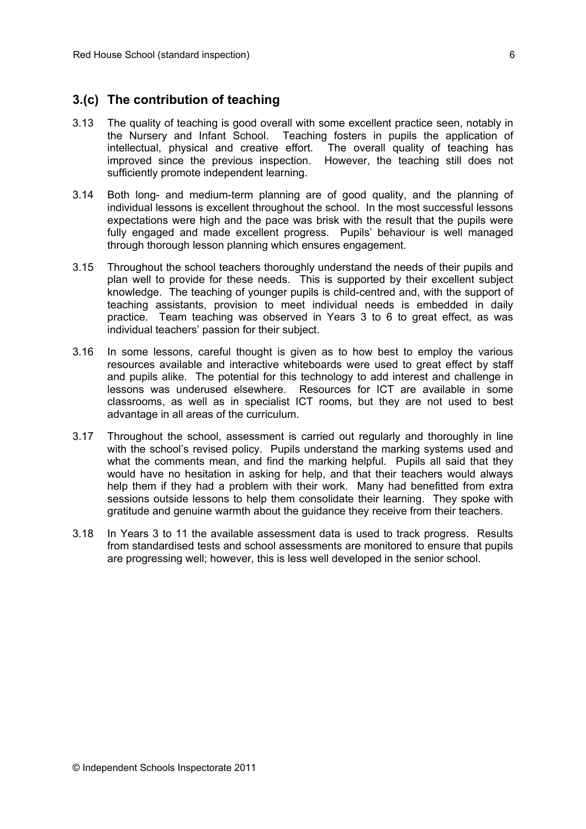#### **3.(c) The contribution of teaching**

- 3.13 The quality of teaching is good overall with some excellent practice seen, notably in the Nursery and Infant School. Teaching fosters in pupils the application of intellectual, physical and creative effort. The overall quality of teaching has improved since the previous inspection. However, the teaching still does not sufficiently promote independent learning.
- 3.14 Both long- and medium-term planning are of good quality, and the planning of individual lessons is excellent throughout the school. In the most successful lessons expectations were high and the pace was brisk with the result that the pupils were fully engaged and made excellent progress. Pupils' behaviour is well managed through thorough lesson planning which ensures engagement.
- 3.15 Throughout the school teachers thoroughly understand the needs of their pupils and plan well to provide for these needs. This is supported by their excellent subject knowledge. The teaching of younger pupils is child-centred and, with the support of teaching assistants, provision to meet individual needs is embedded in daily practice. Team teaching was observed in Years 3 to 6 to great effect, as was individual teachers' passion for their subject.
- 3.16 In some lessons, careful thought is given as to how best to employ the various resources available and interactive whiteboards were used to great effect by staff and pupils alike. The potential for this technology to add interest and challenge in lessons was underused elsewhere. Resources for ICT are available in some classrooms, as well as in specialist ICT rooms, but they are not used to best advantage in all areas of the curriculum.
- 3.17 Throughout the school, assessment is carried out regularly and thoroughly in line with the school's revised policy. Pupils understand the marking systems used and what the comments mean, and find the marking helpful. Pupils all said that they would have no hesitation in asking for help, and that their teachers would always help them if they had a problem with their work. Many had benefitted from extra sessions outside lessons to help them consolidate their learning. They spoke with gratitude and genuine warmth about the guidance they receive from their teachers.
- 3.18 In Years 3 to 11 the available assessment data is used to track progress. Results from standardised tests and school assessments are monitored to ensure that pupils are progressing well; however, this is less well developed in the senior school.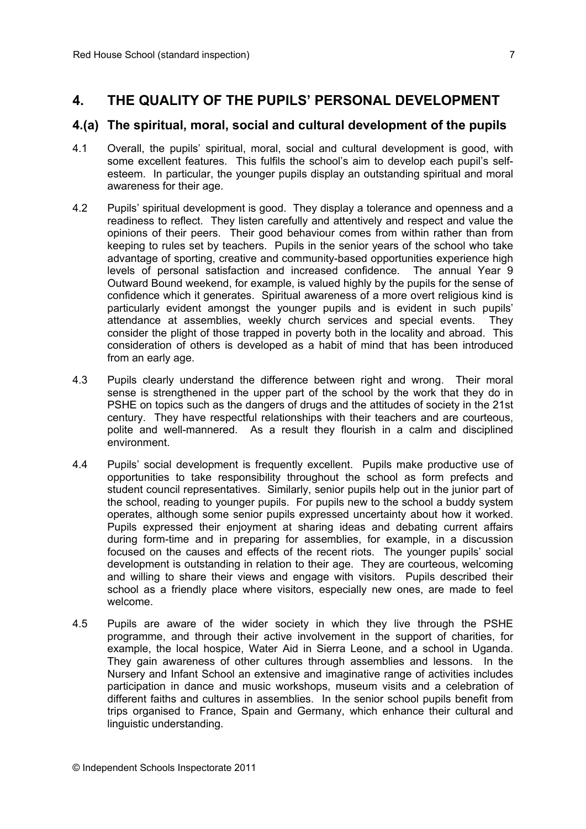## **4. THE QUALITY OF THE PUPILS' PERSONAL DEVELOPMENT**

#### **4.(a) The spiritual, moral, social and cultural development of the pupils**

- 4.1 Overall, the pupils' spiritual, moral, social and cultural development is good, with some excellent features. This fulfils the school's aim to develop each pupil's selfesteem. In particular, the younger pupils display an outstanding spiritual and moral awareness for their age.
- 4.2 Pupils' spiritual development is good. They display a tolerance and openness and a readiness to reflect. They listen carefully and attentively and respect and value the opinions of their peers. Their good behaviour comes from within rather than from keeping to rules set by teachers. Pupils in the senior years of the school who take advantage of sporting, creative and community-based opportunities experience high levels of personal satisfaction and increased confidence. The annual Year 9 Outward Bound weekend, for example, is valued highly by the pupils for the sense of confidence which it generates. Spiritual awareness of a more overt religious kind is particularly evident amongst the younger pupils and is evident in such pupils' attendance at assemblies, weekly church services and special events. They consider the plight of those trapped in poverty both in the locality and abroad. This consideration of others is developed as a habit of mind that has been introduced from an early age.
- 4.3 Pupils clearly understand the difference between right and wrong. Their moral sense is strengthened in the upper part of the school by the work that they do in PSHE on topics such as the dangers of drugs and the attitudes of society in the 21st century. They have respectful relationships with their teachers and are courteous, polite and well-mannered. As a result they flourish in a calm and disciplined environment.
- 4.4 Pupils' social development is frequently excellent. Pupils make productive use of opportunities to take responsibility throughout the school as form prefects and student council representatives. Similarly, senior pupils help out in the junior part of the school, reading to younger pupils. For pupils new to the school a buddy system operates, although some senior pupils expressed uncertainty about how it worked. Pupils expressed their enjoyment at sharing ideas and debating current affairs during form-time and in preparing for assemblies, for example, in a discussion focused on the causes and effects of the recent riots. The younger pupils' social development is outstanding in relation to their age. They are courteous, welcoming and willing to share their views and engage with visitors. Pupils described their school as a friendly place where visitors, especially new ones, are made to feel welcome.
- 4.5 Pupils are aware of the wider society in which they live through the PSHE programme, and through their active involvement in the support of charities, for example, the local hospice, Water Aid in Sierra Leone, and a school in Uganda. They gain awareness of other cultures through assemblies and lessons. In the Nursery and Infant School an extensive and imaginative range of activities includes participation in dance and music workshops, museum visits and a celebration of different faiths and cultures in assemblies. In the senior school pupils benefit from trips organised to France, Spain and Germany, which enhance their cultural and linguistic understanding.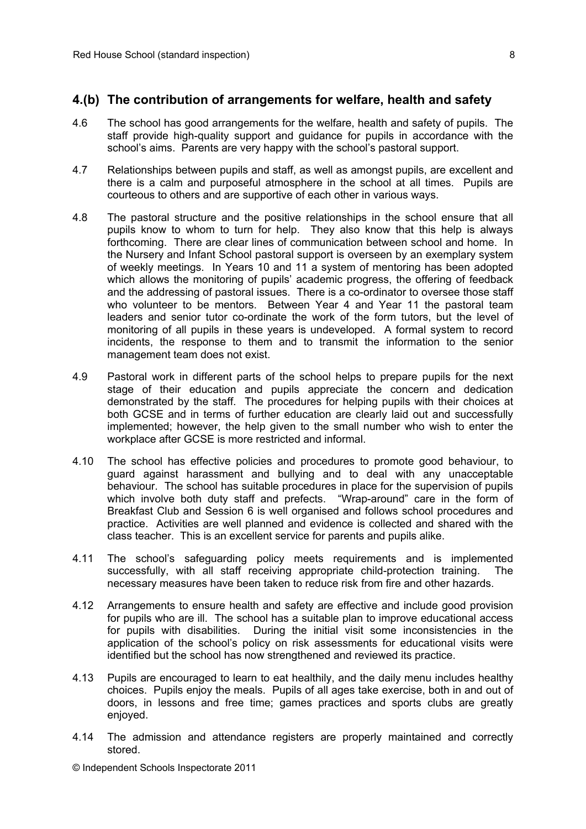#### **4.(b) The contribution of arrangements for welfare, health and safety**

- 4.6 The school has good arrangements for the welfare, health and safety of pupils. The staff provide high-quality support and guidance for pupils in accordance with the school's aims. Parents are very happy with the school's pastoral support.
- 4.7 Relationships between pupils and staff, as well as amongst pupils, are excellent and there is a calm and purposeful atmosphere in the school at all times. Pupils are courteous to others and are supportive of each other in various ways.
- 4.8 The pastoral structure and the positive relationships in the school ensure that all pupils know to whom to turn for help. They also know that this help is always forthcoming. There are clear lines of communication between school and home. In the Nursery and Infant School pastoral support is overseen by an exemplary system of weekly meetings. In Years 10 and 11 a system of mentoring has been adopted which allows the monitoring of pupils' academic progress, the offering of feedback and the addressing of pastoral issues. There is a co-ordinator to oversee those staff who volunteer to be mentors. Between Year 4 and Year 11 the pastoral team leaders and senior tutor co-ordinate the work of the form tutors, but the level of monitoring of all pupils in these years is undeveloped. A formal system to record incidents, the response to them and to transmit the information to the senior management team does not exist.
- 4.9 Pastoral work in different parts of the school helps to prepare pupils for the next stage of their education and pupils appreciate the concern and dedication demonstrated by the staff. The procedures for helping pupils with their choices at both GCSE and in terms of further education are clearly laid out and successfully implemented; however, the help given to the small number who wish to enter the workplace after GCSE is more restricted and informal.
- 4.10 The school has effective policies and procedures to promote good behaviour, to guard against harassment and bullying and to deal with any unacceptable behaviour. The school has suitable procedures in place for the supervision of pupils which involve both duty staff and prefects. "Wrap-around" care in the form of Breakfast Club and Session 6 is well organised and follows school procedures and practice. Activities are well planned and evidence is collected and shared with the class teacher. This is an excellent service for parents and pupils alike.
- 4.11 The school's safeguarding policy meets requirements and is implemented successfully, with all staff receiving appropriate child-protection training. The necessary measures have been taken to reduce risk from fire and other hazards.
- 4.12 Arrangements to ensure health and safety are effective and include good provision for pupils who are ill. The school has a suitable plan to improve educational access for pupils with disabilities. During the initial visit some inconsistencies in the application of the school's policy on risk assessments for educational visits were identified but the school has now strengthened and reviewed its practice.
- 4.13 Pupils are encouraged to learn to eat healthily, and the daily menu includes healthy choices. Pupils enjoy the meals. Pupils of all ages take exercise, both in and out of doors, in lessons and free time; games practices and sports clubs are greatly enjoyed.
- 4.14 The admission and attendance registers are properly maintained and correctly stored.

© Independent Schools Inspectorate 2011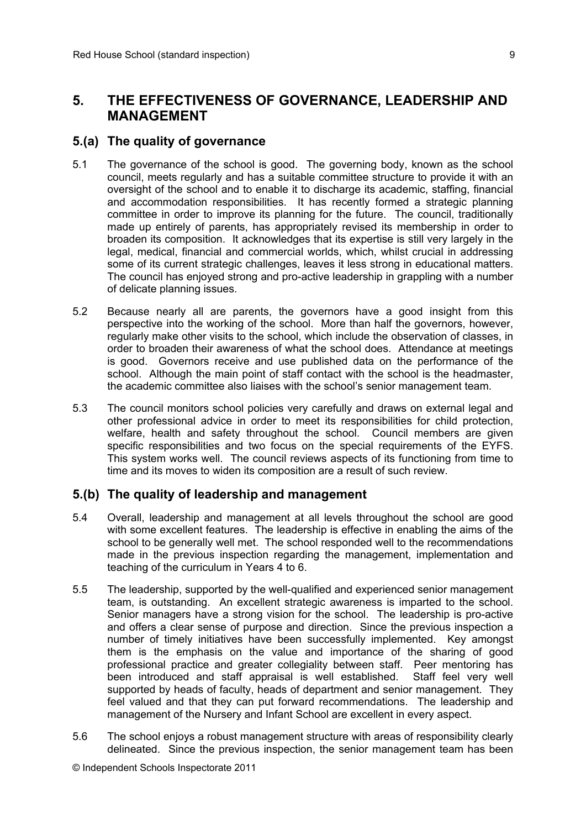## **5. THE EFFECTIVENESS OF GOVERNANCE, LEADERSHIP AND MANAGEMENT**

#### **5.(a) The quality of governance**

- 5.1 The governance of the school is good. The governing body, known as the school council, meets regularly and has a suitable committee structure to provide it with an oversight of the school and to enable it to discharge its academic, staffing, financial and accommodation responsibilities. It has recently formed a strategic planning committee in order to improve its planning for the future. The council, traditionally made up entirely of parents, has appropriately revised its membership in order to broaden its composition. It acknowledges that its expertise is still very largely in the legal, medical, financial and commercial worlds, which, whilst crucial in addressing some of its current strategic challenges, leaves it less strong in educational matters. The council has enjoyed strong and pro-active leadership in grappling with a number of delicate planning issues.
- 5.2 Because nearly all are parents, the governors have a good insight from this perspective into the working of the school. More than half the governors, however, regularly make other visits to the school, which include the observation of classes, in order to broaden their awareness of what the school does. Attendance at meetings is good. Governors receive and use published data on the performance of the school. Although the main point of staff contact with the school is the headmaster, the academic committee also liaises with the school's senior management team.
- 5.3 The council monitors school policies very carefully and draws on external legal and other professional advice in order to meet its responsibilities for child protection, welfare, health and safety throughout the school. Council members are given specific responsibilities and two focus on the special requirements of the EYFS. This system works well. The council reviews aspects of its functioning from time to time and its moves to widen its composition are a result of such review.

### **5.(b) The quality of leadership and management**

- 5.4 Overall, leadership and management at all levels throughout the school are good with some excellent features. The leadership is effective in enabling the aims of the school to be generally well met. The school responded well to the recommendations made in the previous inspection regarding the management, implementation and teaching of the curriculum in Years 4 to 6.
- 5.5 The leadership, supported by the well-qualified and experienced senior management team, is outstanding. An excellent strategic awareness is imparted to the school. Senior managers have a strong vision for the school. The leadership is pro-active and offers a clear sense of purpose and direction. Since the previous inspection a number of timely initiatives have been successfully implemented. Key amongst them is the emphasis on the value and importance of the sharing of good professional practice and greater collegiality between staff. Peer mentoring has been introduced and staff appraisal is well established. Staff feel very well supported by heads of faculty, heads of department and senior management. They feel valued and that they can put forward recommendations. The leadership and management of the Nursery and Infant School are excellent in every aspect.
- 5.6 The school enjoys a robust management structure with areas of responsibility clearly delineated. Since the previous inspection, the senior management team has been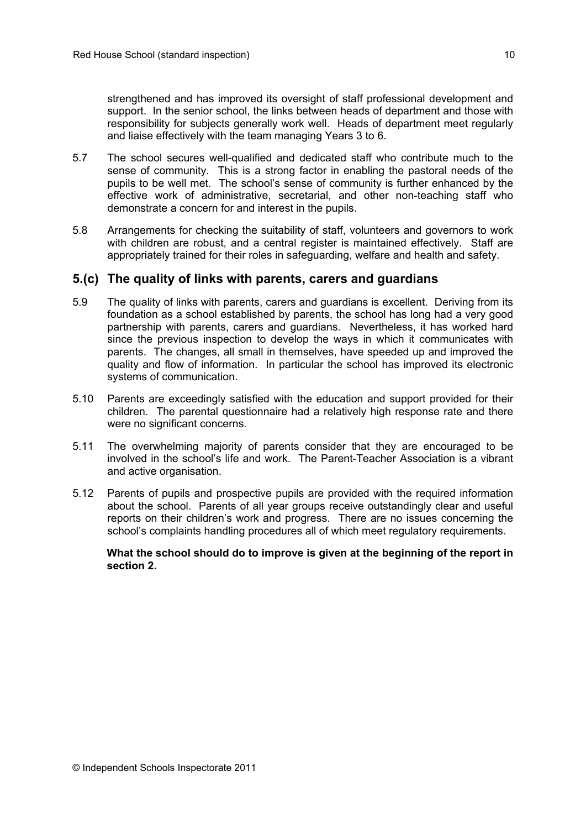strengthened and has improved its oversight of staff professional development and support. In the senior school, the links between heads of department and those with responsibility for subjects generally work well. Heads of department meet regularly and liaise effectively with the team managing Years 3 to 6.

- 5.7 The school secures well-qualified and dedicated staff who contribute much to the sense of community. This is a strong factor in enabling the pastoral needs of the pupils to be well met. The school's sense of community is further enhanced by the effective work of administrative, secretarial, and other non-teaching staff who demonstrate a concern for and interest in the pupils.
- 5.8 Arrangements for checking the suitability of staff, volunteers and governors to work with children are robust, and a central register is maintained effectively. Staff are appropriately trained for their roles in safeguarding, welfare and health and safety.

#### **5.(c) The quality of links with parents, carers and guardians**

- 5.9 The quality of links with parents, carers and guardians is excellent. Deriving from its foundation as a school established by parents, the school has long had a very good partnership with parents, carers and guardians. Nevertheless, it has worked hard since the previous inspection to develop the ways in which it communicates with parents. The changes, all small in themselves, have speeded up and improved the quality and flow of information. In particular the school has improved its electronic systems of communication.
- 5.10 Parents are exceedingly satisfied with the education and support provided for their children. The parental questionnaire had a relatively high response rate and there were no significant concerns.
- 5.11 The overwhelming majority of parents consider that they are encouraged to be involved in the school's life and work. The Parent-Teacher Association is a vibrant and active organisation.
- 5.12 Parents of pupils and prospective pupils are provided with the required information about the school. Parents of all year groups receive outstandingly clear and useful reports on their children's work and progress. There are no issues concerning the school's complaints handling procedures all of which meet regulatory requirements.

#### **What the school should do to improve is given at the beginning of the report in section 2.**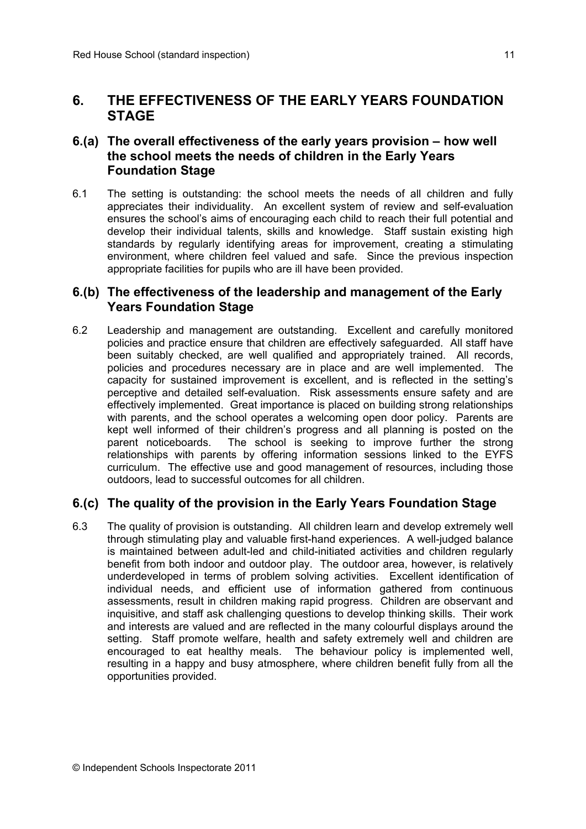## **6. THE EFFECTIVENESS OF THE EARLY YEARS FOUNDATION STAGE**

### **6.(a) The overall effectiveness of the early years provision – how well the school meets the needs of children in the Early Years Foundation Stage**

6.1 The setting is outstanding: the school meets the needs of all children and fully appreciates their individuality. An excellent system of review and self-evaluation ensures the school's aims of encouraging each child to reach their full potential and develop their individual talents, skills and knowledge. Staff sustain existing high standards by regularly identifying areas for improvement, creating a stimulating environment, where children feel valued and safe. Since the previous inspection appropriate facilities for pupils who are ill have been provided.

#### **6.(b) The effectiveness of the leadership and management of the Early Years Foundation Stage**

6.2 Leadership and management are outstanding. Excellent and carefully monitored policies and practice ensure that children are effectively safeguarded. All staff have been suitably checked, are well qualified and appropriately trained. All records, policies and procedures necessary are in place and are well implemented. The capacity for sustained improvement is excellent, and is reflected in the setting's perceptive and detailed self-evaluation. Risk assessments ensure safety and are effectively implemented. Great importance is placed on building strong relationships with parents, and the school operates a welcoming open door policy. Parents are kept well informed of their children's progress and all planning is posted on the parent noticeboards. The school is seeking to improve further the strong relationships with parents by offering information sessions linked to the EYFS curriculum. The effective use and good management of resources, including those outdoors, lead to successful outcomes for all children.

### **6.(c) The quality of the provision in the Early Years Foundation Stage**

6.3 The quality of provision is outstanding. All children learn and develop extremely well through stimulating play and valuable first-hand experiences. A well-judged balance is maintained between adult-led and child-initiated activities and children regularly benefit from both indoor and outdoor play. The outdoor area, however, is relatively underdeveloped in terms of problem solving activities. Excellent identification of individual needs, and efficient use of information gathered from continuous assessments, result in children making rapid progress. Children are observant and inquisitive, and staff ask challenging questions to develop thinking skills. Their work and interests are valued and are reflected in the many colourful displays around the setting. Staff promote welfare, health and safety extremely well and children are encouraged to eat healthy meals. The behaviour policy is implemented well, resulting in a happy and busy atmosphere, where children benefit fully from all the opportunities provided.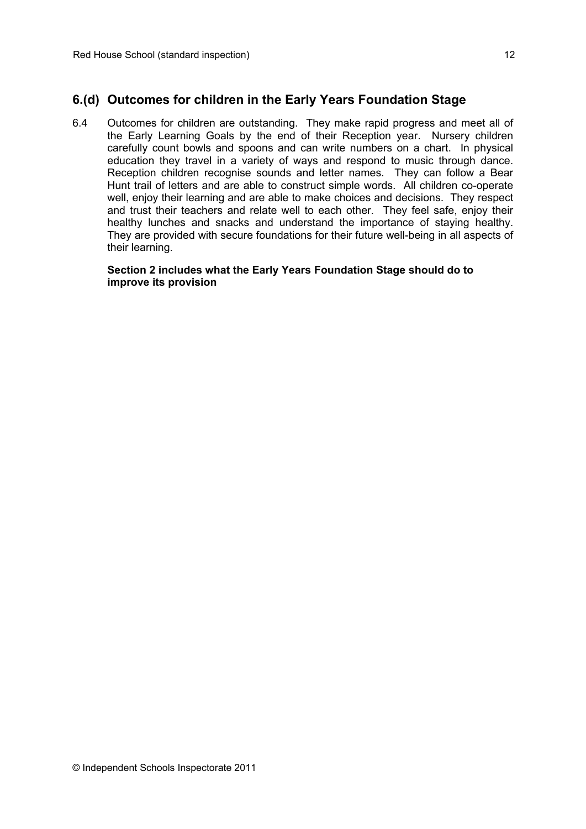### **6.(d) Outcomes for children in the Early Years Foundation Stage**

6.4 Outcomes for children are outstanding. They make rapid progress and meet all of the Early Learning Goals by the end of their Reception year. Nursery children carefully count bowls and spoons and can write numbers on a chart. In physical education they travel in a variety of ways and respond to music through dance. Reception children recognise sounds and letter names. They can follow a Bear Hunt trail of letters and are able to construct simple words. All children co-operate well, enjoy their learning and are able to make choices and decisions. They respect and trust their teachers and relate well to each other. They feel safe, enjoy their healthy lunches and snacks and understand the importance of staying healthy. They are provided with secure foundations for their future well-being in all aspects of their learning.

#### **Section 2 includes what the Early Years Foundation Stage should do to improve its provision**